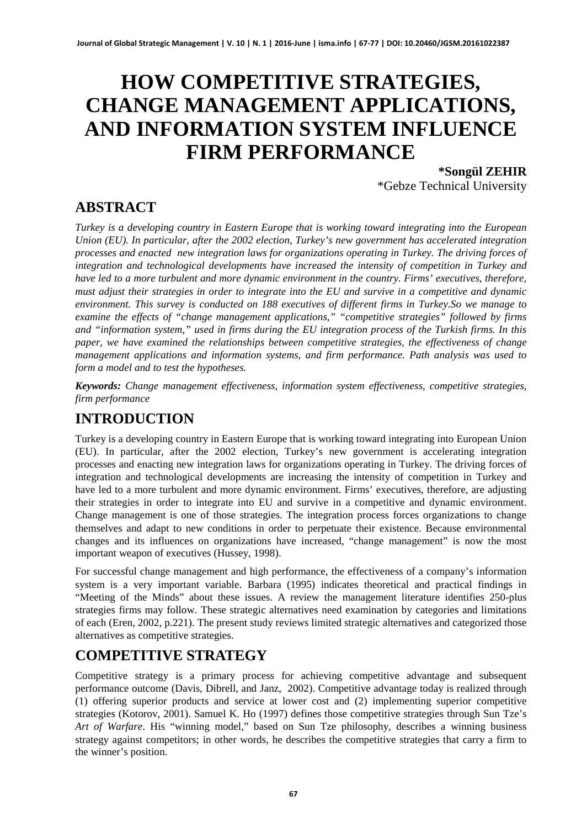# **HOW COMPETITIVE STRATEGIES, CHANGE MANAGEMENT APPLICATIONS, AND INFORMATION SYSTEM INFLUENCE FIRM PERFORMANCE**

**\*Songül ZEHIR** \*Gebze Technical University

**ABSTRACT**

*Turkey is a developing country in Eastern Europe that is working toward integrating into the European Union (EU). In particular, after the 2002 election, Turkey's new government has accelerated integration processes and enacted new integration laws for organizations operating in Turkey. The driving forces of integration and technological developments have increased the intensity of competition in Turkey and have led to a more turbulent and more dynamic environment in the country. Firms' executives, therefore, must adjust their strategies in order to integrate into the EU and survive in a competitive and dynamic environment. This survey is conducted on 188 executives of different firms in Turkey.So we manage to examine the effects of "change management applications," "competitive strategies" followed by firms and "information system," used in firms during the EU integration process of the Turkish firms. In this paper, we have examined the relationships between competitive strategies, the effectiveness of change management applications and information systems, and firm performance. Path analysis was used to form a model and to test the hypotheses.* 

*Keywords: Change management effectiveness, information system effectiveness, competitive strategies, firm performance*

# **INTRODUCTION**

Turkey is a developing country in Eastern Europe that is working toward integrating into European Union (EU). In particular, after the 2002 election, Turkey's new government is accelerating integration processes and enacting new integration laws for organizations operating in Turkey. The driving forces of integration and technological developments are increasing the intensity of competition in Turkey and have led to a more turbulent and more dynamic environment. Firms' executives, therefore, are adjusting their strategies in order to integrate into EU and survive in a competitive and dynamic environment. Change management is one of those strategies. The integration process forces organizations to change themselves and adapt to new conditions in order to perpetuate their existence. Because environmental changes and its influences on organizations have increased, "change management" is now the most important weapon of executives (Hussey, 1998).

For successful change management and high performance, the effectiveness of a company's information system is a very important variable. Barbara (1995) indicates theoretical and practical findings in "Meeting of the Minds" about these issues. A review the management literature identifies 250-plus strategies firms may follow. These strategic alternatives need examination by categories and limitations of each (Eren, 2002, p.221). The present study reviews limited strategic alternatives and categorized those alternatives as competitive strategies.

# **COMPETITIVE STRATEGY**

Competitive strategy is a primary process for achieving competitive advantage and subsequent performance outcome (Davis, Dibrell, and Janz, 2002). Competitive advantage today is realized through (1) offering superior products and service at lower cost and (2) implementing superior competitive strategies (Kotorov, 2001). Samuel K. Ho (1997) defines those competitive strategies through Sun Tze's *Art of Warfare*. His "winning model," based on Sun Tze philosophy, describes a winning business strategy against competitors; in other words, he describes the competitive strategies that carry a firm to the winner's position.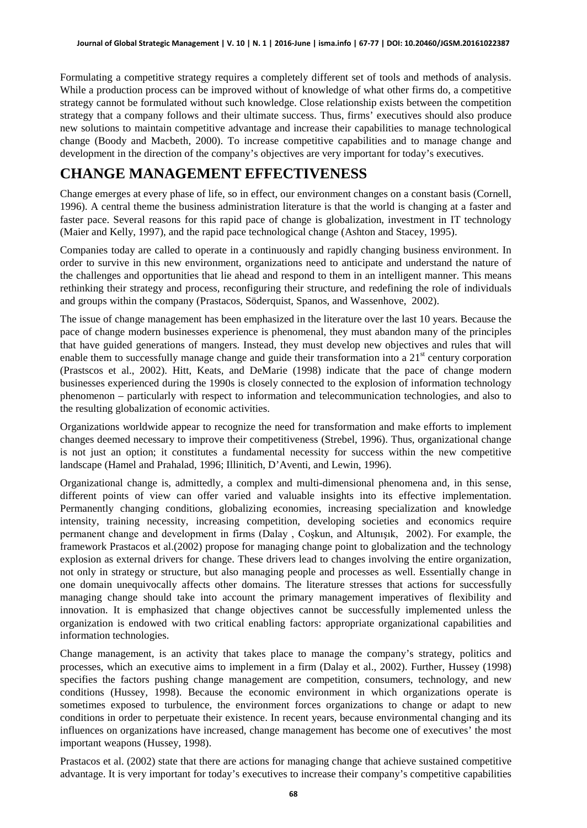Formulating a competitive strategy requires a completely different set of tools and methods of analysis. While a production process can be improved without of knowledge of what other firms do, a competitive strategy cannot be formulated without such knowledge. Close relationship exists between the competition strategy that a company follows and their ultimate success. Thus, firms' executives should also produce new solutions to maintain competitive advantage and increase their capabilities to manage technological change (Boody and Macbeth, 2000). To increase competitive capabilities and to manage change and development in the direction of the company's objectives are very important for today's executives.

## **CHANGE MANAGEMENT EFFECTIVENESS**

Change emerges at every phase of life, so in effect, our environment changes on a constant basis (Cornell, 1996). A central theme the business administration literature is that the world is changing at a faster and faster pace. Several reasons for this rapid pace of change is globalization, investment in IT technology (Maier and Kelly, 1997), and the rapid pace technological change (Ashton and Stacey, 1995).

Companies today are called to operate in a continuously and rapidly changing business environment. In order to survive in this new environment, organizations need to anticipate and understand the nature of the challenges and opportunities that lie ahead and respond to them in an intelligent manner. This means rethinking their strategy and process, reconfiguring their structure, and redefining the role of individuals and groups within the company (Prastacos, Söderquist, Spanos, and Wassenhove, 2002).

The issue of change management has been emphasized in the literature over the last 10 years. Because the pace of change modern businesses experience is phenomenal, they must abandon many of the principles that have guided generations of mangers. Instead, they must develop new objectives and rules that will enable them to successfully manage change and guide their transformation into a  $21<sup>st</sup>$  century corporation (Prastscos et al., 2002). Hitt, Keats, and DeMarie (1998) indicate that the pace of change modern businesses experienced during the 1990s is closely connected to the explosion of information technology phenomenon – particularly with respect to information and telecommunication technologies, and also to the resulting globalization of economic activities.

Organizations worldwide appear to recognize the need for transformation and make efforts to implement changes deemed necessary to improve their competitiveness (Strebel, 1996). Thus, organizational change is not just an option; it constitutes a fundamental necessity for success within the new competitive landscape (Hamel and Prahalad, 1996; Illinitich, D'Aventi, and Lewin, 1996).

Organizational change is, admittedly, a complex and multi-dimensional phenomena and, in this sense, different points of view can offer varied and valuable insights into its effective implementation. Permanently changing conditions, globalizing economies, increasing specialization and knowledge intensity, training necessity, increasing competition, developing societies and economics require permanent change and development in firms (Dalay , Coşkun, and Altunışık, 2002). For example, the framework Prastacos et al.(2002) propose for managing change point to globalization and the technology explosion as external drivers for change. These drivers lead to changes involving the entire organization, not only in strategy or structure, but also managing people and processes as well. Essentially change in one domain unequivocally affects other domains. The literature stresses that actions for successfully managing change should take into account the primary management imperatives of flexibility and innovation. It is emphasized that change objectives cannot be successfully implemented unless the organization is endowed with two critical enabling factors: appropriate organizational capabilities and information technologies.

Change management, is an activity that takes place to manage the company's strategy, politics and processes, which an executive aims to implement in a firm (Dalay et al., 2002). Further, Hussey (1998) specifies the factors pushing change management are competition, consumers, technology, and new conditions (Hussey, 1998). Because the economic environment in which organizations operate is sometimes exposed to turbulence, the environment forces organizations to change or adapt to new conditions in order to perpetuate their existence. In recent years, because environmental changing and its influences on organizations have increased, change management has become one of executives' the most important weapons (Hussey, 1998).

Prastacos et al. (2002) state that there are actions for managing change that achieve sustained competitive advantage. It is very important for today's executives to increase their company's competitive capabilities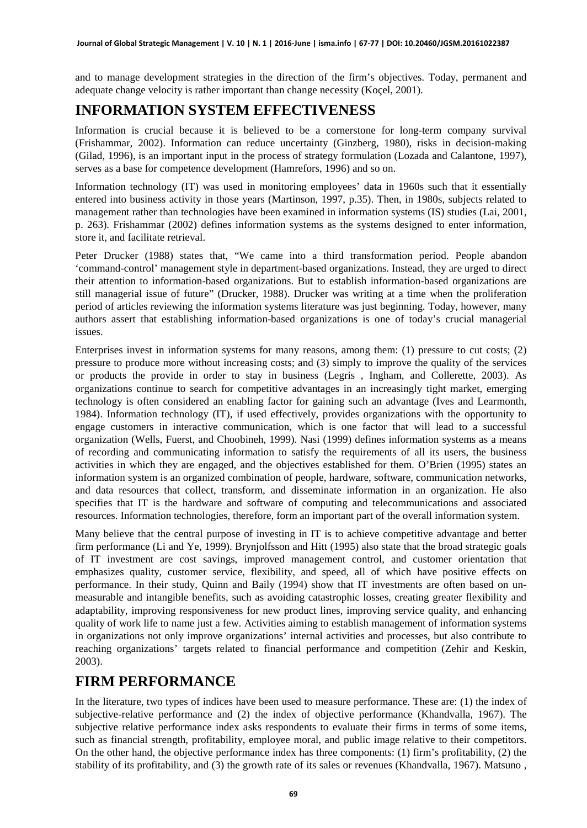and to manage development strategies in the direction of the firm's objectives. Today, permanent and adequate change velocity is rather important than change necessity (Koçel, 2001).

## **INFORMATION SYSTEM EFFECTIVENESS**

Information is crucial because it is believed to be a cornerstone for long-term company survival (Frishammar, 2002). Information can reduce uncertainty (Ginzberg, 1980), risks in decision-making (Gilad, 1996), is an important input in the process of strategy formulation (Lozada and Calantone, 1997), serves as a base for competence development (Hamrefors, 1996) and so on.

Information technology (IT) was used in monitoring employees' data in 1960s such that it essentially entered into business activity in those years (Martinson, 1997, p.35). Then, in 1980s, subjects related to management rather than technologies have been examined in information systems (IS) studies (Lai, 2001, p. 263). Frishammar (2002) defines information systems as the systems designed to enter information, store it, and facilitate retrieval.

Peter Drucker (1988) states that, "We came into a third transformation period. People abandon 'command-control' management style in department-based organizations. Instead, they are urged to direct their attention to information-based organizations. But to establish information-based organizations are still managerial issue of future" (Drucker, 1988). Drucker was writing at a time when the proliferation period of articles reviewing the information systems literature was just beginning. Today, however, many authors assert that establishing information-based organizations is one of today's crucial managerial issues.

Enterprises invest in information systems for many reasons, among them: (1) pressure to cut costs; (2) pressure to produce more without increasing costs; and (3) simply to improve the quality of the services or products the provide in order to stay in business (Legris , Ingham, and Collerette, 2003). As organizations continue to search for competitive advantages in an increasingly tight market, emerging technology is often considered an enabling factor for gaining such an advantage (Ives and Learmonth, 1984). Information technology (IT), if used effectively, provides organizations with the opportunity to engage customers in interactive communication, which is one factor that will lead to a successful organization (Wells, Fuerst, and Choobineh, 1999). Nasi (1999) defines information systems as a means of recording and communicating information to satisfy the requirements of all its users, the business activities in which they are engaged, and the objectives established for them. O'Brien (1995) states an information system is an organized combination of people, hardware, software, communication networks, and data resources that collect, transform, and disseminate information in an organization. He also specifies that IT is the hardware and software of computing and telecommunications and associated resources. Information technologies, therefore, form an important part of the overall information system.

Many believe that the central purpose of investing in IT is to achieve competitive advantage and better firm performance (Li and Ye, 1999). Brynjolfsson and Hitt (1995) also state that the broad strategic goals of IT investment are cost savings, improved management control, and customer orientation that emphasizes quality, customer service, flexibility, and speed, all of which have positive effects on performance. In their study, Quinn and Baily (1994) show that IT investments are often based on unmeasurable and intangible benefits, such as avoiding catastrophic losses, creating greater flexibility and adaptability, improving responsiveness for new product lines, improving service quality, and enhancing quality of work life to name just a few. Activities aiming to establish management of information systems in organizations not only improve organizations' internal activities and processes, but also contribute to reaching organizations' targets related to financial performance and competition (Zehir and Keskin, 2003).

## **FIRM PERFORMANCE**

In the literature, two types of indices have been used to measure performance. These are: (1) the index of subjective-relative performance and (2) the index of objective performance (Khandvalla, 1967). The subjective relative performance index asks respondents to evaluate their firms in terms of some items, such as financial strength, profitability, employee moral, and public image relative to their competitors. On the other hand, the objective performance index has three components: (1) firm's profitability, (2) the stability of its profitability, and (3) the growth rate of its sales or revenues (Khandvalla, 1967). Matsuno ,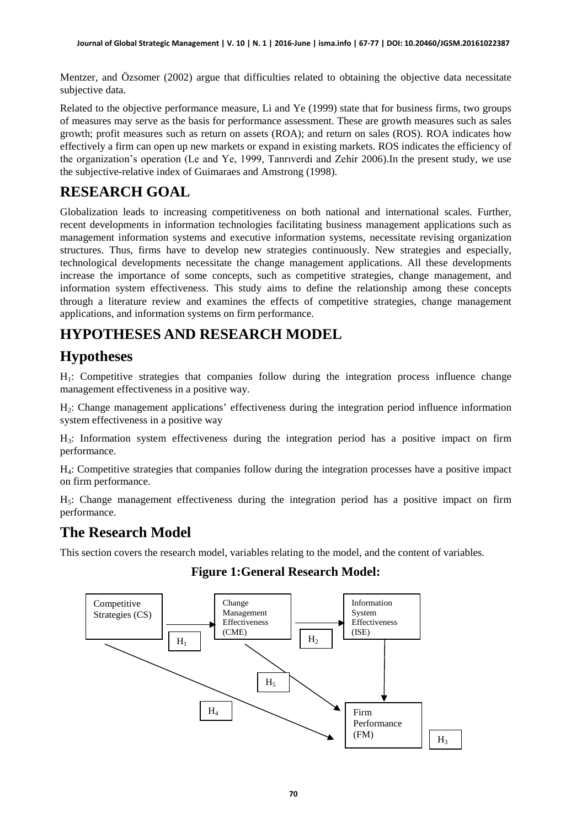Mentzer, and Özsomer (2002) argue that difficulties related to obtaining the objective data necessitate subjective data.

Related to the objective performance measure, Li and Ye (1999) state that for business firms, two groups of measures may serve as the basis for performance assessment. These are growth measures such as sales growth; profit measures such as return on assets (ROA); and return on sales (ROS). ROA indicates how effectively a firm can open up new markets or expand in existing markets. ROS indicates the efficiency of the organization's operation (Le and Ye, 1999, Tanrıverdi and Zehir 2006).In the present study, we use the subjective-relative index of Guimaraes and Amstrong (1998).

# **RESEARCH GOAL**

Globalization leads to increasing competitiveness on both national and international scales. Further, recent developments in information technologies facilitating business management applications such as management information systems and executive information systems, necessitate revising organization structures. Thus, firms have to develop new strategies continuously. New strategies and especially, technological developments necessitate the change management applications. All these developments increase the importance of some concepts, such as competitive strategies, change management, and information system effectiveness. This study aims to define the relationship among these concepts through a literature review and examines the effects of competitive strategies, change management applications, and information systems on firm performance.

# **HYPOTHESES AND RESEARCH MODEL**

## **Hypotheses**

H1: Competitive strategies that companies follow during the integration process influence change management effectiveness in a positive way.

H2: Change management applications' effectiveness during the integration period influence information system effectiveness in a positive way

H3: Information system effectiveness during the integration period has a positive impact on firm performance.

H4: Competitive strategies that companies follow during the integration processes have a positive impact on firm performance.

 $H_5$ : Change management effectiveness during the integration period has a positive impact on firm performance.

#### **The Research Model**

This section covers the research model, variables relating to the model, and the content of variables.

#### **Figure 1:General Research Model:**

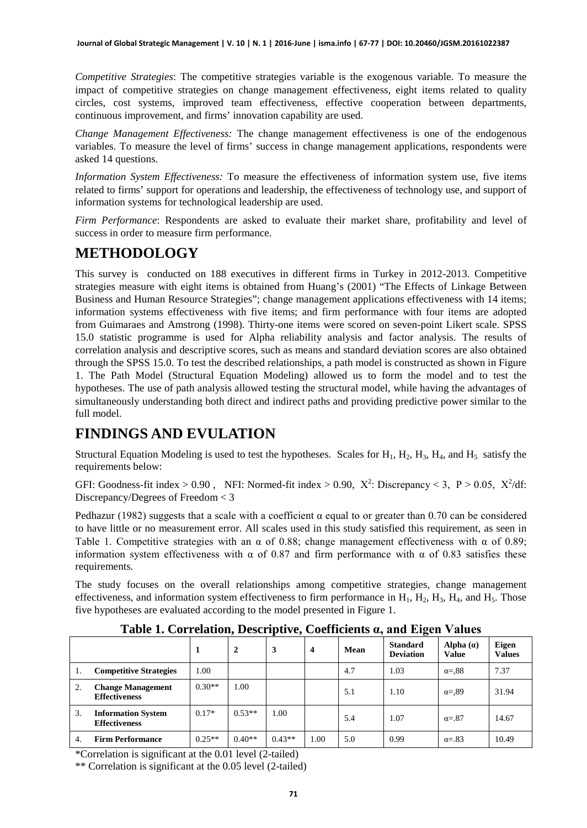*Competitive Strategies*: The competitive strategies variable is the exogenous variable. To measure the impact of competitive strategies on change management effectiveness, eight items related to quality circles, cost systems, improved team effectiveness, effective cooperation between departments, continuous improvement, and firms' innovation capability are used.

*Change Management Effectiveness:* The change management effectiveness is one of the endogenous variables. To measure the level of firms' success in change management applications, respondents were asked 14 questions.

*Information System Effectiveness:* To measure the effectiveness of information system use, five items related to firms' support for operations and leadership, the effectiveness of technology use, and support of information systems for technological leadership are used.

*Firm Performance*: Respondents are asked to evaluate their market share, profitability and level of success in order to measure firm performance.

## **METHODOLOGY**

This survey is conducted on 188 executives in different firms in Turkey in 2012-2013. Competitive strategies measure with eight items is obtained from Huang's (2001) "The Effects of Linkage Between Business and Human Resource Strategies"; change management applications effectiveness with 14 items; information systems effectiveness with five items; and firm performance with four items are adopted from Guimaraes and Amstrong (1998). Thirty-one items were scored on seven-point Likert scale. SPSS 15.0 statistic programme is used for Alpha reliability analysis and factor analysis. The results of correlation analysis and descriptive scores, such as means and standard deviation scores are also obtained through the SPSS 15.0. To test the described relationships, a path model is constructed as shown in Figure 1. The Path Model (Structural Equation Modeling) allowed us to form the model and to test the hypotheses. The use of path analysis allowed testing the structural model, while having the advantages of simultaneously understanding both direct and indirect paths and providing predictive power similar to the full model.

# **FINDINGS AND EVULATION**

Structural Equation Modeling is used to test the hypotheses. Scales for  $H_1$ ,  $H_2$ ,  $H_3$ ,  $H_4$ , and  $H_5$  satisfy the requirements below:

GFI: Goodness-fit index > 0.90, NFI: Normed-fit index > 0.90,  $X^2$ : Discrepancy < 3, P > 0.05,  $X^2/df$ : Discrepancy/Degrees of Freedom < 3

Pedhazur (1982) suggests that a scale with a coefficient  $\alpha$  equal to or greater than 0.70 can be considered to have little or no measurement error. All scales used in this study satisfied this requirement, as seen in Table 1. Competitive strategies with an  $\alpha$  of 0.88; change management effectiveness with  $\alpha$  of 0.89; information system effectiveness with  $\alpha$  of 0.87 and firm performance with  $\alpha$  of 0.83 satisfies these requirements.

The study focuses on the overall relationships among competitive strategies, change management effectiveness, and information system effectiveness to firm performance in  $H_1$ ,  $H_2$ ,  $H_3$ ,  $H_4$ , and  $H_5$ . Those five hypotheses are evaluated according to the model presented in Figure 1.

|    |                                                   |          |                |          |                         |      | $\overline{\phantom{a}}$            |                             |                               |
|----|---------------------------------------------------|----------|----------------|----------|-------------------------|------|-------------------------------------|-----------------------------|-------------------------------|
|    |                                                   |          | $\overline{2}$ | 3        | $\overline{\mathbf{4}}$ | Mean | <b>Standard</b><br><b>Deviation</b> | Alpha $(a)$<br><b>Value</b> | <b>Eigen</b><br><b>Values</b> |
|    | <b>Competitive Strategies</b>                     | 00.1     |                |          |                         | 4.7  | 1.03                                | $\alpha = 88$               | 7.37                          |
| 2. | <b>Change Management</b><br><b>Effectiveness</b>  | $0.30**$ | 1.00           |          |                         | 5.1  | 1.10                                | $\alpha = 0.89$             | 31.94                         |
| 3. | <b>Information System</b><br><b>Effectiveness</b> | $0.17*$  | $0.53**$       | 1.00     |                         | 5.4  | 1.07                                | $\alpha = .87$              | 14.67                         |
| 4. | <b>Firm Performance</b>                           | $0.25**$ | $0.40**$       | $0.43**$ | 1.00                    | 5.0  | 0.99                                | $\alpha = .83$              | 10.49                         |

**Table 1. Correlation, Descriptive, Coefficients α, and Eigen Values**

\*Correlation is significant at the 0.01 level (2-tailed)

\*\* Correlation is significant at the 0.05 level (2-tailed)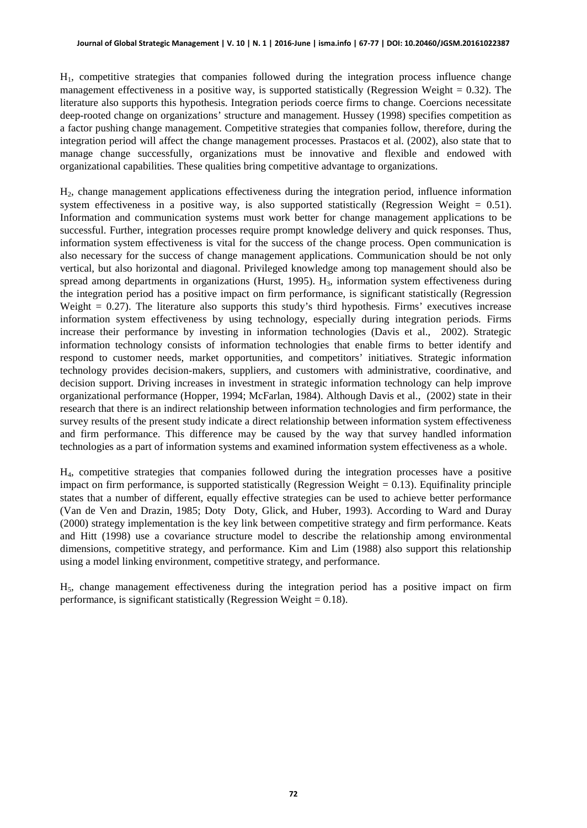H1, competitive strategies that companies followed during the integration process influence change management effectiveness in a positive way, is supported statistically (Regression Weight  $= 0.32$ ). The literature also supports this hypothesis. Integration periods coerce firms to change. Coercions necessitate deep-rooted change on organizations' structure and management. Hussey (1998) specifies competition as a factor pushing change management. Competitive strategies that companies follow, therefore, during the integration period will affect the change management processes. Prastacos et al. (2002), also state that to manage change successfully, organizations must be innovative and flexible and endowed with organizational capabilities. These qualities bring competitive advantage to organizations.

H2, change management applications effectiveness during the integration period, influence information system effectiveness in a positive way, is also supported statistically (Regression Weight  $= 0.51$ ). Information and communication systems must work better for change management applications to be successful. Further, integration processes require prompt knowledge delivery and quick responses. Thus, information system effectiveness is vital for the success of the change process. Open communication is also necessary for the success of change management applications. Communication should be not only vertical, but also horizontal and diagonal. Privileged knowledge among top management should also be spread among departments in organizations (Hurst, 1995).  $H_3$ , information system effectiveness during the integration period has a positive impact on firm performance, is significant statistically (Regression Weight  $= 0.27$ ). The literature also supports this study's third hypothesis. Firms' executives increase information system effectiveness by using technology, especially during integration periods. Firms increase their performance by investing in information technologies (Davis et al., 2002). Strategic information technology consists of information technologies that enable firms to better identify and respond to customer needs, market opportunities, and competitors' initiatives. Strategic information technology provides decision-makers, suppliers, and customers with administrative, coordinative, and decision support. Driving increases in investment in strategic information technology can help improve organizational performance (Hopper, 1994; McFarlan, 1984). Although Davis et al., (2002) state in their research that there is an indirect relationship between information technologies and firm performance, the survey results of the present study indicate a direct relationship between information system effectiveness and firm performance. This difference may be caused by the way that survey handled information technologies as a part of information systems and examined information system effectiveness as a whole.

H4, competitive strategies that companies followed during the integration processes have a positive impact on firm performance, is supported statistically (Regression Weight  $= 0.13$ ). Equifinality principle states that a number of different, equally effective strategies can be used to achieve better performance (Van de Ven and Drazin, 1985; Doty Doty, Glick, and Huber, 1993). According to Ward and Duray (2000) strategy implementation is the key link between competitive strategy and firm performance. Keats and Hitt (1998) use a covariance structure model to describe the relationship among environmental dimensions, competitive strategy, and performance. Kim and Lim (1988) also support this relationship using a model linking environment, competitive strategy, and performance.

H5, change management effectiveness during the integration period has a positive impact on firm performance, is significant statistically (Regression Weight  $= 0.18$ ).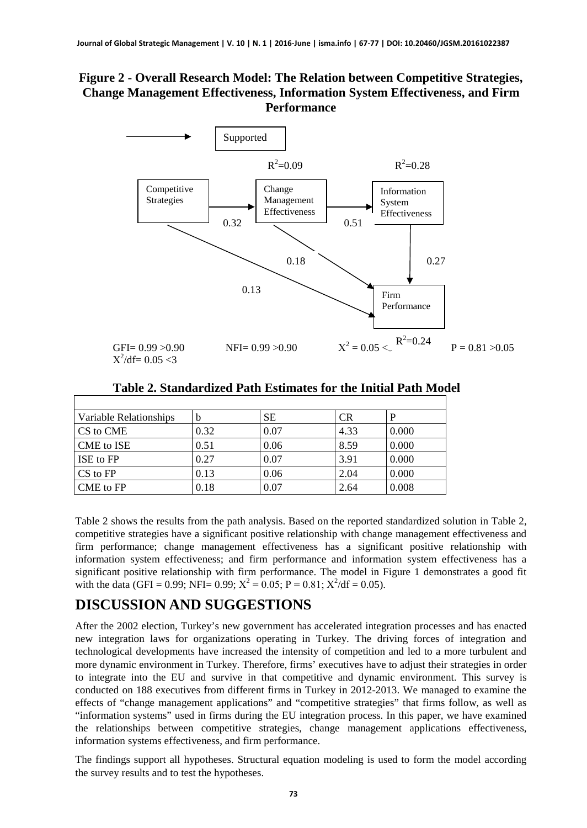#### **Figure 2 - Overall Research Model: The Relation between Competitive Strategies, Change Management Effectiveness, Information System Effectiveness, and Firm Performance**



 $X^2/df = 0.05 < 3$ 

**Table 2. Standardized Path Estimates for the Initial Path Model**

| Variable Relationships | b    | <b>SE</b> | <b>CR</b> | <sup>D</sup> |
|------------------------|------|-----------|-----------|--------------|
| CS to CME              | 0.32 | 0.07      | 4.33      | 0.000        |
| CME to ISE             | 0.51 | 0.06      | 8.59      | 0.000        |
| ISE to FP              | 0.27 | 0.07      | 3.91      | 0.000        |
| CS to FP               | 0.13 | 0.06      | 2.04      | 0.000        |
| CME to FP              | 0.18 | 0.07      | 2.64      | 0.008        |

Table 2 shows the results from the path analysis. Based on the reported standardized solution in Table 2, competitive strategies have a significant positive relationship with change management effectiveness and firm performance; change management effectiveness has a significant positive relationship with information system effectiveness; and firm performance and information system effectiveness has a significant positive relationship with firm performance. The model in Figure 1 demonstrates a good fit with the data (GFI = 0.99; NFI= 0.99;  $X^2 = 0.05$ ; P = 0.81;  $X^2/df = 0.05$ ).

# **DISCUSSION AND SUGGESTIONS**

After the 2002 election, Turkey's new government has accelerated integration processes and has enacted new integration laws for organizations operating in Turkey. The driving forces of integration and technological developments have increased the intensity of competition and led to a more turbulent and more dynamic environment in Turkey. Therefore, firms' executives have to adjust their strategies in order to integrate into the EU and survive in that competitive and dynamic environment. This survey is conducted on 188 executives from different firms in Turkey in 2012-2013. We managed to examine the effects of "change management applications" and "competitive strategies" that firms follow, as well as "information systems" used in firms during the EU integration process. In this paper, we have examined the relationships between competitive strategies, change management applications effectiveness, information systems effectiveness, and firm performance.

The findings support all hypotheses. Structural equation modeling is used to form the model according the survey results and to test the hypotheses.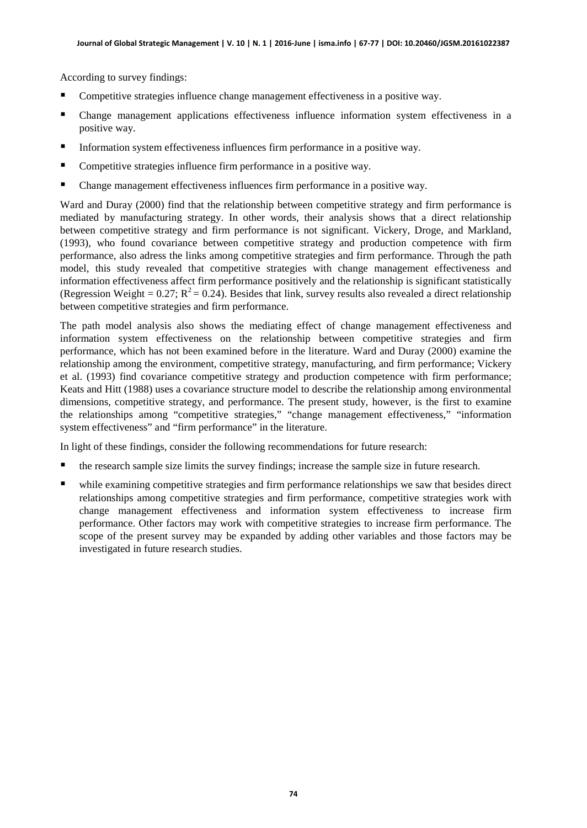According to survey findings:

- Competitive strategies influence change management effectiveness in a positive way.
- Change management applications effectiveness influence information system effectiveness in a positive way.
- Information system effectiveness influences firm performance in a positive way.
- Competitive strategies influence firm performance in a positive way.
- Change management effectiveness influences firm performance in a positive way.

Ward and Duray (2000) find that the relationship between competitive strategy and firm performance is mediated by manufacturing strategy. In other words, their analysis shows that a direct relationship between competitive strategy and firm performance is not significant. Vickery, Droge, and Markland, (1993), who found covariance between competitive strategy and production competence with firm performance, also adress the links among competitive strategies and firm performance. Through the path model, this study revealed that competitive strategies with change management effectiveness and information effectiveness affect firm performance positively and the relationship is significant statistically (Regression Weight = 0.27;  $R^2$  = 0.24). Besides that link, survey results also revealed a direct relationship between competitive strategies and firm performance.

The path model analysis also shows the mediating effect of change management effectiveness and information system effectiveness on the relationship between competitive strategies and firm performance, which has not been examined before in the literature. Ward and Duray (2000) examine the relationship among the environment, competitive strategy, manufacturing, and firm performance; Vickery et al. (1993) find covariance competitive strategy and production competence with firm performance; Keats and Hitt (1988) uses a covariance structure model to describe the relationship among environmental dimensions, competitive strategy, and performance. The present study, however, is the first to examine the relationships among "competitive strategies," "change management effectiveness," "information system effectiveness" and "firm performance" in the literature.

In light of these findings, consider the following recommendations for future research:

- the research sample size limits the survey findings; increase the sample size in future research.
- while examining competitive strategies and firm performance relationships we saw that besides direct relationships among competitive strategies and firm performance, competitive strategies work with change management effectiveness and information system effectiveness to increase firm performance. Other factors may work with competitive strategies to increase firm performance. The scope of the present survey may be expanded by adding other variables and those factors may be investigated in future research studies.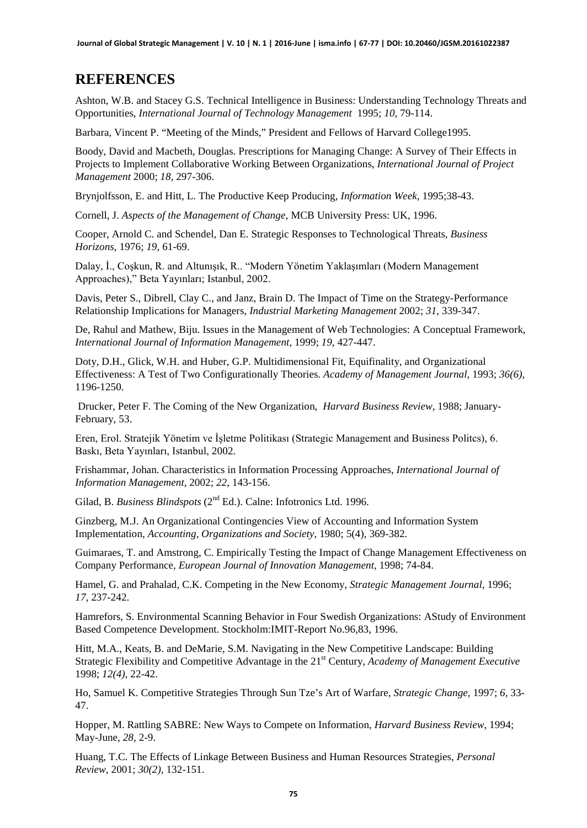#### **REFERENCES**

Ashton, W.B. and Stacey G.S. Technical Intelligence in Business: Understanding Technology Threats and Opportunities, *International Journal of Technology Management* 1995; *10*, 79-114.

Barbara, Vincent P. "Meeting of the Minds," President and Fellows of Harvard College1995.

Boody, David and Macbeth, Douglas. Prescriptions for Managing Change: A Survey of Their Effects in Projects to Implement Collaborative Working Between Organizations, *International Journal of Project Management* 2000; *18*, 297-306.

Brynjolfsson, E. and Hitt, L. The Productive Keep Producing, *Information Week*, 1995;38-43.

Cornell, J. *Aspects of the Management of Change*, MCB University Press: UK, 1996.

Cooper, Arnold C. and Schendel, Dan E. Strategic Responses to Technological Threats, *Business Horizons*, 1976; *19*, 61-69.

Dalay, İ., Coşkun, R. and Altunışık, R.. "Modern Yönetim Yaklaşımları (Modern Management Approaches)," Beta Yayınları; Istanbul, 2002.

Davis, Peter S., Dibrell, Clay C., and Janz, Brain D. The Impact of Time on the Strategy-Performance Relationship Implications for Managers, *Industrial Marketing Management* 2002; *31,* 339-347.

De, Rahul and Mathew, Biju. Issues in the Management of Web Technologies: A Conceptual Framework, *International Journal of Information Management,* 1999; *19*, 427-447.

Doty, D.H., Glick, W.H. and Huber, G.P. Multidimensional Fit, Equifinality, and Organizational Effectiveness: A Test of Two Configurationally Theories. *Academy of Management Journal,* 1993; *36(6)*, 1196-1250.

Drucker, Peter F. The Coming of the New Organization, *Harvard Business Review,* 1988; January-February, 53.

Eren, Erol. Stratejik Yönetim ve İşletme Politikası (Strategic Management and Business Politcs), 6. Baskı, Beta Yayınları, Istanbul, 2002.

Frishammar, Johan. Characteristics in Information Processing Approaches, *International Journal of Information Management,* 2002; *22*, 143-156.

Gilad, B. *Business Blindspots* (2<sup>nd</sup> Ed.). Calne: Infotronics Ltd. 1996.

Ginzberg, M.J. An Organizational Contingencies View of Accounting and Information System Implementation, *Accounting, Organizations and Society,* 1980; 5(4), 369-382.

Guimaraes, T. and Amstrong, C. Empirically Testing the Impact of Change Management Effectiveness on Company Performance, *European Journal of Innovation Management,* 1998; 74-84.

Hamel, G. and Prahalad, C.K. Competing in the New Economy, *Strategic Management Journal,* 1996; *17,* 237-242.

Hamrefors, S. Environmental Scanning Behavior in Four Swedish Organizations: AStudy of Environment Based Competence Development. Stockholm:IMIT-Report No.96,83, 1996.

Hitt, M.A., Keats, B. and DeMarie, S.M. Navigating in the New Competitive Landscape: Building Strategic Flexibility and Competitive Advantage in the 21st Century, *Academy of Management Executive*  1998; *12(4),* 22-42.

Ho, Samuel K. Competitive Strategies Through Sun Tze's Art of Warfare, *Strategic Change,* 1997; *6*, 33- 47.

Hopper, M. Rattling SABRE: New Ways to Compete on Information, *Harvard Business Review*, 1994; May-June, *28*, 2-9.

Huang, T.C. The Effects of Linkage Between Business and Human Resources Strategies, *Personal Review,* 2001; *30(2),* 132-151.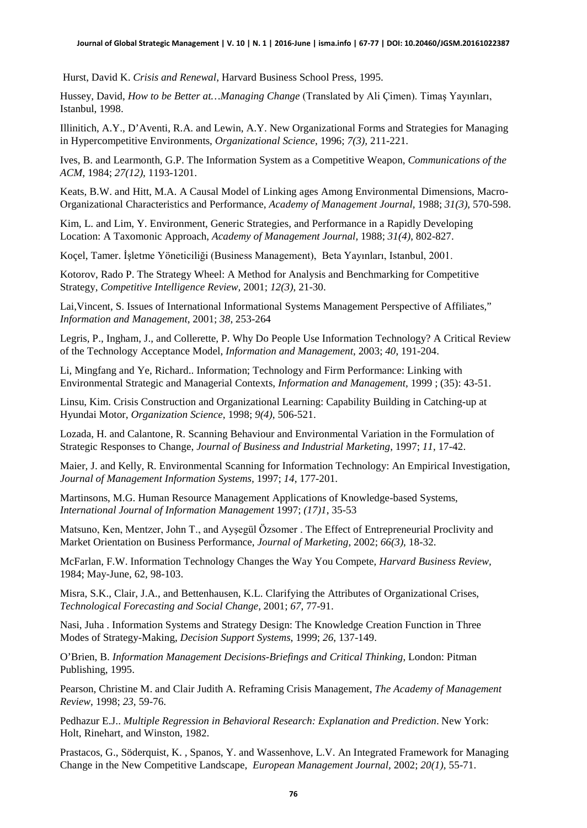Hurst, David K. *Crisis and Renewal*, Harvard Business School Press, 1995.

Hussey, David, *How to be Better at…Managing Change* (Translated by Ali Çimen). Timaş Yayınları, Istanbul, 1998.

Illinitich, A.Y., D'Aventi, R.A. and Lewin, A.Y. New Organizational Forms and Strategies for Managing in Hypercompetitive Environments, *Organizational Science*, 1996; *7(3),* 211-221.

Ives, B. and Learmonth, G.P. The Information System as a Competitive Weapon, *Communications of the ACM*, 1984; *27(12)*, 1193-1201.

Keats, B.W. and Hitt, M.A. A Causal Model of Linking ages Among Environmental Dimensions, Macro-Organizational Characteristics and Performance, *Academy of Management Journal,* 1988; *31(3),* 570-598.

Kim, L. and Lim, Y. Environment, Generic Strategies, and Performance in a Rapidly Developing Location: A Taxomonic Approach, *Academy of Management Journal,* 1988; *31(4)*, 802-827.

Koçel, Tamer. İşletme Yöneticiliği (Business Management), Beta Yayınları, Istanbul, 2001.

Kotorov, Rado P. The Strategy Wheel: A Method for Analysis and Benchmarking for Competitive Strategy, *Competitive Intelligence Review,* 2001; *12(3)*, 21-30.

Lai,Vincent, S. Issues of International Informational Systems Management Perspective of Affiliates," *Information and Management*, 2001; *38*, 253-264

Legris, P., Ingham, J., and Collerette, P. Why Do People Use Information Technology? A Critical Review of the Technology Acceptance Model, *Information and Management*, 2003; *40*, 191-204.

Li, Mingfang and Ye, Richard.. Information; Technology and Firm Performance: Linking with Environmental Strategic and Managerial Contexts, *Information and Management,* 1999 ; (35): 43-51.

Linsu, Kim. Crisis Construction and Organizational Learning: Capability Building in Catching-up at Hyundai Motor, *Organization Science*, 1998; *9(4)*, 506-521.

Lozada, H. and Calantone, R. Scanning Behaviour and Environmental Variation in the Formulation of Strategic Responses to Change, *Journal of Business and Industrial Marketing*, 1997; *11*, 17-42.

Maier, J. and Kelly, R. Environmental Scanning for Information Technology: An Empirical Investigation, *Journal of Management Information Systems,* 1997; *14*, 177-201.

Martinsons, M.G. Human Resource Management Applications of Knowledge-based Systems, *International Journal of Information Management* 1997; *(17)1*, 35-53

Matsuno, Ken, Mentzer, John T., and Ayşegül Özsomer . The Effect of Entrepreneurial Proclivity and Market Orientation on Business Performance, *Journal of Marketing,* 2002; *66(3)*, 18-32.

McFarlan, F.W. Information Technology Changes the Way You Compete, *Harvard Business Review,*  1984; May-June, 62, 98-103.

Misra, S.K., Clair, J.A., and Bettenhausen, K.L. Clarifying the Attributes of Organizational Crises, *Technological Forecasting and Social Change*, 2001; *67*, 77-91.

Nasi, Juha . Information Systems and Strategy Design: The Knowledge Creation Function in Three Modes of Strategy-Making, *Decision Support Systems*, 1999; *26*, 137-149.

O'Brien, B. *Information Management Decisions-Briefings and Critical Thinking*, London: Pitman Publishing, 1995.

Pearson, Christine M. and Clair Judith A. Reframing Crisis Management, *The Academy of Management Review*, 1998; *23*, 59-76.

Pedhazur E.J.. *Multiple Regression in Behavioral Research: Explanation and Prediction*. New York: Holt, Rinehart, and Winston, 1982.

Prastacos, G., Söderquist, K. , Spanos, Y. and Wassenhove, L.V. An Integrated Framework for Managing Change in the New Competitive Landscape, *European Management Journal,* 2002; *20(1),* 55-71.